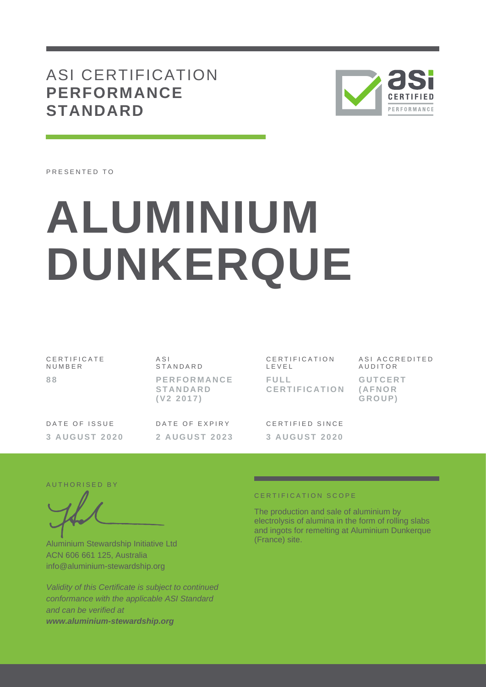ASI CERTIFICATION **PERFORMANCE STANDARD**



PRESENTED TO

# **ALUMINIUM DUNKERQUE**

CERTIFICATE N U M B E R **8 8**

A S I **STANDARD P E R F O R M A N C E S T A N D A R D ( V 2 2 0 1 7 )**

DATE OF ISSUE **3 A U G U S T 2 0 2 0** DATE OF EXPIRY **2 A U G U S T 202 3**

CERTIFICATION L E V E L **F U L L C E R T I F I C A T I O N** ASI ACCREDITED **AUDITOR G U T C E R T** 

**( A F N O R G R O U P )**

CERTIFIED SINCE **3 A U G U S T 2 0 2 0**

#### AUTHORISED BY

Aluminium Stewardship Initiative Ltd ACN 606 661 125, Australia info@aluminium-stewardship.org

*Validity of this Certificate is subject to continued conformance with the applicable ASI Standard and can be verified at www.aluminium-stewardship.org*

### CERTIFICATION SCOPE

The production and sale of aluminium by electrolysis of alumina in the form of rolling slabs and ingots for remelting at Aluminium Dunkerque (France) site.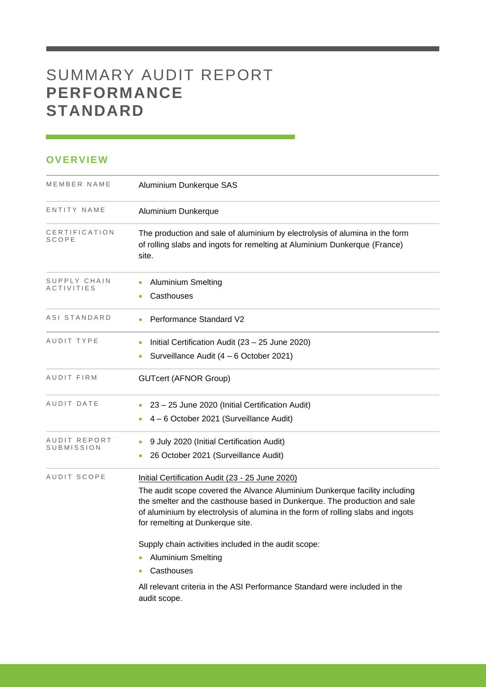# SUMMARY AUDIT REPORT **PERFORMANCE STANDARD**

## **OVERVIEW**

| MEMBER NAME                       | Aluminium Dunkerque SAS                                                                                                                                                                                                                                                                                                                                                                                                                                                                                                            |
|-----------------------------------|------------------------------------------------------------------------------------------------------------------------------------------------------------------------------------------------------------------------------------------------------------------------------------------------------------------------------------------------------------------------------------------------------------------------------------------------------------------------------------------------------------------------------------|
| ENTITY NAME                       | Aluminium Dunkerque                                                                                                                                                                                                                                                                                                                                                                                                                                                                                                                |
| CERTIFICATION<br>SCOPE            | The production and sale of aluminium by electrolysis of alumina in the form<br>of rolling slabs and ingots for remelting at Aluminium Dunkerque (France)<br>site.                                                                                                                                                                                                                                                                                                                                                                  |
| SUPPLY CHAIN<br><b>ACTIVITIES</b> | <b>Aluminium Smelting</b><br>Casthouses                                                                                                                                                                                                                                                                                                                                                                                                                                                                                            |
| ASI STANDARD                      | Performance Standard V2                                                                                                                                                                                                                                                                                                                                                                                                                                                                                                            |
| AUDIT TYPE                        | Initial Certification Audit (23 - 25 June 2020)<br>Surveillance Audit (4 - 6 October 2021)                                                                                                                                                                                                                                                                                                                                                                                                                                         |
| AUDIT FIRM                        | <b>GUTcert (AFNOR Group)</b>                                                                                                                                                                                                                                                                                                                                                                                                                                                                                                       |
| AUDIT DATE                        | 23 - 25 June 2020 (Initial Certification Audit)<br>4 - 6 October 2021 (Surveillance Audit)                                                                                                                                                                                                                                                                                                                                                                                                                                         |
| AUDIT REPORT<br>SUBMISSION        | 9 July 2020 (Initial Certification Audit)<br>26 October 2021 (Surveillance Audit)                                                                                                                                                                                                                                                                                                                                                                                                                                                  |
| AUDIT SCOPE                       | Initial Certification Audit (23 - 25 June 2020)<br>The audit scope covered the Alvance Aluminium Dunkerque facility including<br>the smelter and the casthouse based in Dunkerque. The production and sale<br>of aluminium by electrolysis of alumina in the form of rolling slabs and ingots<br>for remelting at Dunkerque site.<br>Supply chain activities included in the audit scope:<br><b>Aluminium Smelting</b><br>Casthouses<br>All relevant criteria in the ASI Performance Standard were included in the<br>audit scope. |

and the control of the control of the control of the control of the control of the control of the control of the control of the control of the control of the control of the control of the control of the control of the cont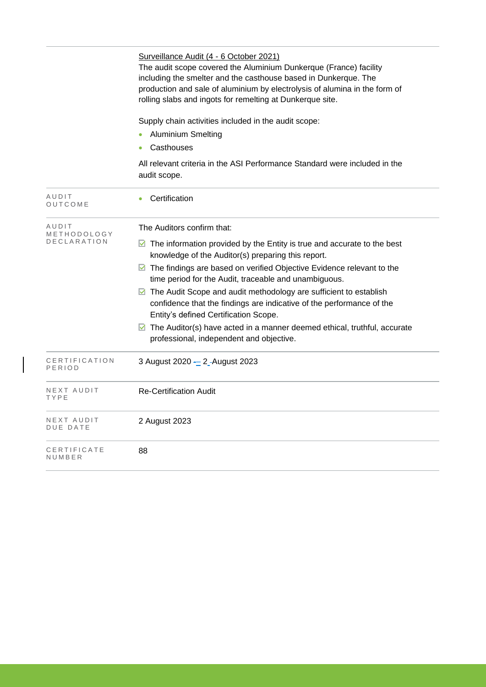|                                     | Surveillance Audit (4 - 6 October 2021)<br>The audit scope covered the Aluminium Dunkerque (France) facility<br>including the smelter and the casthouse based in Dunkerque. The<br>production and sale of aluminium by electrolysis of alumina in the form of<br>rolling slabs and ingots for remelting at Dunkerque site.                                                                                                                                                                                                                                                                                                                                  |  |  |  |
|-------------------------------------|-------------------------------------------------------------------------------------------------------------------------------------------------------------------------------------------------------------------------------------------------------------------------------------------------------------------------------------------------------------------------------------------------------------------------------------------------------------------------------------------------------------------------------------------------------------------------------------------------------------------------------------------------------------|--|--|--|
|                                     | Supply chain activities included in the audit scope:<br><b>Aluminium Smelting</b><br>Casthouses                                                                                                                                                                                                                                                                                                                                                                                                                                                                                                                                                             |  |  |  |
|                                     | All relevant criteria in the ASI Performance Standard were included in the<br>audit scope.                                                                                                                                                                                                                                                                                                                                                                                                                                                                                                                                                                  |  |  |  |
| AUDIT<br>OUTCOME                    | Certification                                                                                                                                                                                                                                                                                                                                                                                                                                                                                                                                                                                                                                               |  |  |  |
| AUDIT<br>METHODOLOGY<br>DECLARATION | The Auditors confirm that:<br>$\blacksquare$ The information provided by the Entity is true and accurate to the best<br>knowledge of the Auditor(s) preparing this report.<br>$\blacksquare$ The findings are based on verified Objective Evidence relevant to the<br>time period for the Audit, traceable and unambiguous.<br>The Audit Scope and audit methodology are sufficient to establish<br>confidence that the findings are indicative of the performance of the<br>Entity's defined Certification Scope.<br>$\triangleright$ The Auditor(s) have acted in a manner deemed ethical, truthful, accurate<br>professional, independent and objective. |  |  |  |
| CERTIFICATION<br>PERIOD             | 3 August 2020 - 2-August 2023                                                                                                                                                                                                                                                                                                                                                                                                                                                                                                                                                                                                                               |  |  |  |
| NEXT AUDIT<br>TYPE                  | <b>Re-Certification Audit</b>                                                                                                                                                                                                                                                                                                                                                                                                                                                                                                                                                                                                                               |  |  |  |
| NEXT AUDIT<br>DUE DATE              | 2 August 2023                                                                                                                                                                                                                                                                                                                                                                                                                                                                                                                                                                                                                                               |  |  |  |
| CERTIFICATE<br>NUMBER               | 88                                                                                                                                                                                                                                                                                                                                                                                                                                                                                                                                                                                                                                                          |  |  |  |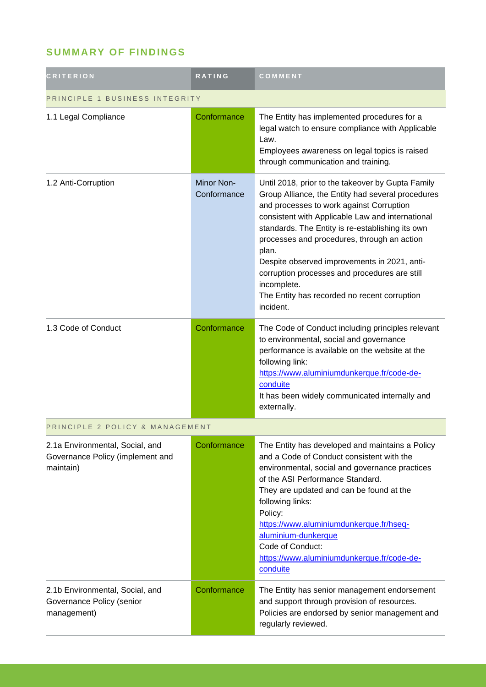# **SUMMARY OF FINDINGS**

| <b>CRITERION</b>                                                                 | <b>RATING</b>             | COMMENT                                                                                                                                                                                                                                                                                                                                                                                                                                                                                         |  |
|----------------------------------------------------------------------------------|---------------------------|-------------------------------------------------------------------------------------------------------------------------------------------------------------------------------------------------------------------------------------------------------------------------------------------------------------------------------------------------------------------------------------------------------------------------------------------------------------------------------------------------|--|
| PRINCIPLE 1 BUSINESS INTEGRITY                                                   |                           |                                                                                                                                                                                                                                                                                                                                                                                                                                                                                                 |  |
| 1.1 Legal Compliance                                                             | Conformance               | The Entity has implemented procedures for a<br>legal watch to ensure compliance with Applicable<br>Law.<br>Employees awareness on legal topics is raised<br>through communication and training.                                                                                                                                                                                                                                                                                                 |  |
| 1.2 Anti-Corruption                                                              | Minor Non-<br>Conformance | Until 2018, prior to the takeover by Gupta Family<br>Group Alliance, the Entity had several procedures<br>and processes to work against Corruption<br>consistent with Applicable Law and international<br>standards. The Entity is re-establishing its own<br>processes and procedures, through an action<br>plan.<br>Despite observed improvements in 2021, anti-<br>corruption processes and procedures are still<br>incomplete.<br>The Entity has recorded no recent corruption<br>incident. |  |
| 1.3 Code of Conduct                                                              | Conformance               | The Code of Conduct including principles relevant<br>to environmental, social and governance<br>performance is available on the website at the<br>following link:<br>https://www.aluminiumdunkerque.fr/code-de-<br>conduite<br>It has been widely communicated internally and<br>externally.                                                                                                                                                                                                    |  |
| PRINCIPLE 2 POLICY & MANAGEMENT                                                  |                           |                                                                                                                                                                                                                                                                                                                                                                                                                                                                                                 |  |
| 2.1a Environmental, Social, and<br>Governance Policy (implement and<br>maintain) | Conformance               | The Entity has developed and maintains a Policy<br>and a Code of Conduct consistent with the<br>environmental, social and governance practices<br>of the ASI Performance Standard.<br>They are updated and can be found at the<br>following links:<br>Policy:<br>https://www.aluminiumdunkerque.fr/hseq-<br>aluminium-dunkerque<br>Code of Conduct:<br>https://www.aluminiumdunkerque.fr/code-de-<br>conduite                                                                                   |  |
| 2.1b Environmental, Social, and<br>Governance Policy (senior<br>management)      | Conformance               | The Entity has senior management endorsement<br>and support through provision of resources.<br>Policies are endorsed by senior management and<br>regularly reviewed.                                                                                                                                                                                                                                                                                                                            |  |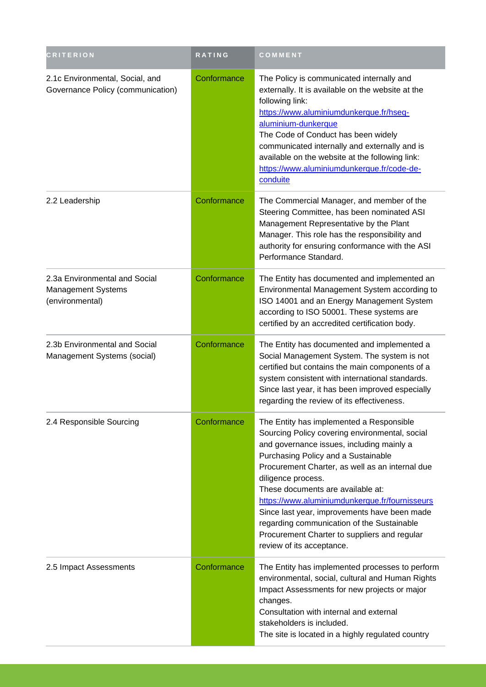| <b>CRITERION</b>                                                              | <b>RATING</b> | COMMENT                                                                                                                                                                                                                                                                                                                                                                                                                                                                                                                   |
|-------------------------------------------------------------------------------|---------------|---------------------------------------------------------------------------------------------------------------------------------------------------------------------------------------------------------------------------------------------------------------------------------------------------------------------------------------------------------------------------------------------------------------------------------------------------------------------------------------------------------------------------|
| 2.1c Environmental, Social, and<br>Governance Policy (communication)          | Conformance   | The Policy is communicated internally and<br>externally. It is available on the website at the<br>following link:<br>https://www.aluminiumdunkerque.fr/hseq-<br>aluminium-dunkerque<br>The Code of Conduct has been widely<br>communicated internally and externally and is<br>available on the website at the following link:<br>https://www.aluminiumdunkerque.fr/code-de-<br>conduite                                                                                                                                  |
| 2.2 Leadership                                                                | Conformance   | The Commercial Manager, and member of the<br>Steering Committee, has been nominated ASI<br>Management Representative by the Plant<br>Manager. This role has the responsibility and<br>authority for ensuring conformance with the ASI<br>Performance Standard.                                                                                                                                                                                                                                                            |
| 2.3a Environmental and Social<br><b>Management Systems</b><br>(environmental) | Conformance   | The Entity has documented and implemented an<br>Environmental Management System according to<br>ISO 14001 and an Energy Management System<br>according to ISO 50001. These systems are<br>certified by an accredited certification body.                                                                                                                                                                                                                                                                                  |
| 2.3b Environmental and Social<br>Management Systems (social)                  | Conformance   | The Entity has documented and implemented a<br>Social Management System. The system is not<br>certified but contains the main components of a<br>system consistent with international standards.<br>Since last year, it has been improved especially<br>regarding the review of its effectiveness.                                                                                                                                                                                                                        |
| 2.4 Responsible Sourcing                                                      | Conformance   | The Entity has implemented a Responsible<br>Sourcing Policy covering environmental, social<br>and governance issues, including mainly a<br>Purchasing Policy and a Sustainable<br>Procurement Charter, as well as an internal due<br>diligence process.<br>These documents are available at:<br>https://www.aluminiumdunkerque.fr/fournisseurs<br>Since last year, improvements have been made<br>regarding communication of the Sustainable<br>Procurement Charter to suppliers and regular<br>review of its acceptance. |
| 2.5 Impact Assessments                                                        | Conformance   | The Entity has implemented processes to perform<br>environmental, social, cultural and Human Rights<br>Impact Assessments for new projects or major<br>changes.<br>Consultation with internal and external<br>stakeholders is included.<br>The site is located in a highly regulated country                                                                                                                                                                                                                              |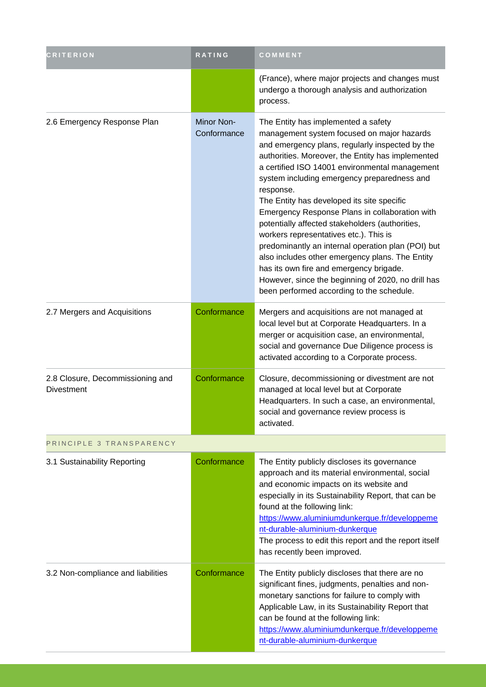| <b>CRITERION</b>                                      | RATING                    | COMMENT                                                                                                                                                                                                                                                                                                                                                                                                                                                                                                                                                                                                                                                                                                                                                     |
|-------------------------------------------------------|---------------------------|-------------------------------------------------------------------------------------------------------------------------------------------------------------------------------------------------------------------------------------------------------------------------------------------------------------------------------------------------------------------------------------------------------------------------------------------------------------------------------------------------------------------------------------------------------------------------------------------------------------------------------------------------------------------------------------------------------------------------------------------------------------|
|                                                       |                           | (France), where major projects and changes must<br>undergo a thorough analysis and authorization<br>process.                                                                                                                                                                                                                                                                                                                                                                                                                                                                                                                                                                                                                                                |
| 2.6 Emergency Response Plan                           | Minor Non-<br>Conformance | The Entity has implemented a safety<br>management system focused on major hazards<br>and emergency plans, regularly inspected by the<br>authorities. Moreover, the Entity has implemented<br>a certified ISO 14001 environmental management<br>system including emergency preparedness and<br>response.<br>The Entity has developed its site specific<br>Emergency Response Plans in collaboration with<br>potentially affected stakeholders (authorities,<br>workers representatives etc.). This is<br>predominantly an internal operation plan (POI) but<br>also includes other emergency plans. The Entity<br>has its own fire and emergency brigade.<br>However, since the beginning of 2020, no drill has<br>been performed according to the schedule. |
| 2.7 Mergers and Acquisitions                          | Conformance               | Mergers and acquisitions are not managed at<br>local level but at Corporate Headquarters. In a<br>merger or acquisition case, an environmental,<br>social and governance Due Diligence process is<br>activated according to a Corporate process.                                                                                                                                                                                                                                                                                                                                                                                                                                                                                                            |
| 2.8 Closure, Decommissioning and<br><b>Divestment</b> | Conformance               | Closure, decommissioning or divestment are not<br>managed at local level but at Corporate<br>Headquarters. In such a case, an environmental,<br>social and governance review process is<br>activated.                                                                                                                                                                                                                                                                                                                                                                                                                                                                                                                                                       |
| PRINCIPLE 3 TRANSPARENCY                              |                           |                                                                                                                                                                                                                                                                                                                                                                                                                                                                                                                                                                                                                                                                                                                                                             |
| 3.1 Sustainability Reporting                          | Conformance               | The Entity publicly discloses its governance<br>approach and its material environmental, social<br>and economic impacts on its website and<br>especially in its Sustainability Report, that can be<br>found at the following link:<br>https://www.aluminiumdunkerque.fr/developpeme<br>nt-durable-aluminium-dunkerque<br>The process to edit this report and the report itself<br>has recently been improved.                                                                                                                                                                                                                                                                                                                                               |
| 3.2 Non-compliance and liabilities                    | Conformance               | The Entity publicly discloses that there are no<br>significant fines, judgments, penalties and non-<br>monetary sanctions for failure to comply with<br>Applicable Law, in its Sustainability Report that<br>can be found at the following link:<br>https://www.aluminiumdunkerque.fr/developpeme<br>nt-durable-aluminium-dunkerque                                                                                                                                                                                                                                                                                                                                                                                                                         |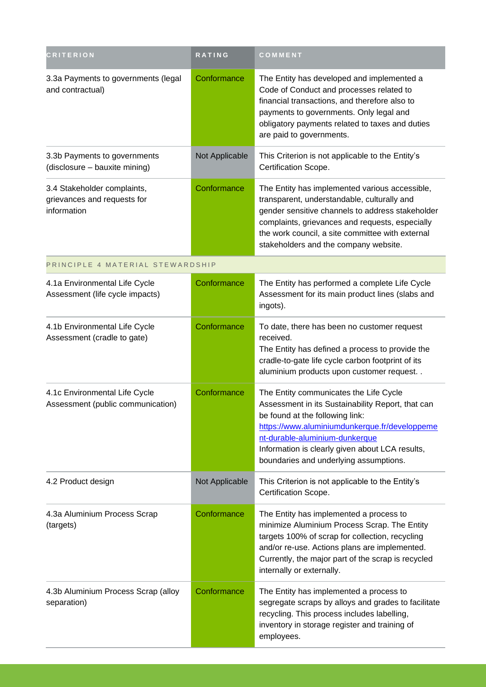| <b>CRITERION</b>                                                          | RATING         | COMMENT                                                                                                                                                                                                                                                                                                        |
|---------------------------------------------------------------------------|----------------|----------------------------------------------------------------------------------------------------------------------------------------------------------------------------------------------------------------------------------------------------------------------------------------------------------------|
| 3.3a Payments to governments (legal<br>and contractual)                   | Conformance    | The Entity has developed and implemented a<br>Code of Conduct and processes related to<br>financial transactions, and therefore also to<br>payments to governments. Only legal and<br>obligatory payments related to taxes and duties<br>are paid to governments.                                              |
| 3.3b Payments to governments<br>(disclosure - bauxite mining)             | Not Applicable | This Criterion is not applicable to the Entity's<br>Certification Scope.                                                                                                                                                                                                                                       |
| 3.4 Stakeholder complaints,<br>grievances and requests for<br>information | Conformance    | The Entity has implemented various accessible,<br>transparent, understandable, culturally and<br>gender sensitive channels to address stakeholder<br>complaints, grievances and requests, especially<br>the work council, a site committee with external<br>stakeholders and the company website.              |
| PRINCIPLE 4 MATERIAL STEWARDSHIP                                          |                |                                                                                                                                                                                                                                                                                                                |
| 4.1a Environmental Life Cycle<br>Assessment (life cycle impacts)          | Conformance    | The Entity has performed a complete Life Cycle<br>Assessment for its main product lines (slabs and<br>ingots).                                                                                                                                                                                                 |
| 4.1b Environmental Life Cycle<br>Assessment (cradle to gate)              | Conformance    | To date, there has been no customer request<br>received.<br>The Entity has defined a process to provide the<br>cradle-to-gate life cycle carbon footprint of its<br>aluminium products upon customer request. .                                                                                                |
| 4.1c Environmental Life Cycle<br>Assessment (public communication)        | Conformance    | The Entity communicates the Life Cycle<br>Assessment in its Sustainability Report, that can<br>be found at the following link:<br>https://www.aluminiumdunkerque.fr/developpeme<br>nt-durable-aluminium-dunkerque<br>Information is clearly given about LCA results,<br>boundaries and underlying assumptions. |
| 4.2 Product design                                                        | Not Applicable | This Criterion is not applicable to the Entity's<br>Certification Scope.                                                                                                                                                                                                                                       |
| 4.3a Aluminium Process Scrap<br>(targets)                                 | Conformance    | The Entity has implemented a process to<br>minimize Aluminium Process Scrap. The Entity<br>targets 100% of scrap for collection, recycling<br>and/or re-use. Actions plans are implemented.<br>Currently, the major part of the scrap is recycled<br>internally or externally.                                 |
| 4.3b Aluminium Process Scrap (alloy<br>separation)                        | Conformance    | The Entity has implemented a process to<br>segregate scraps by alloys and grades to facilitate<br>recycling. This process includes labelling,<br>inventory in storage register and training of<br>employees.                                                                                                   |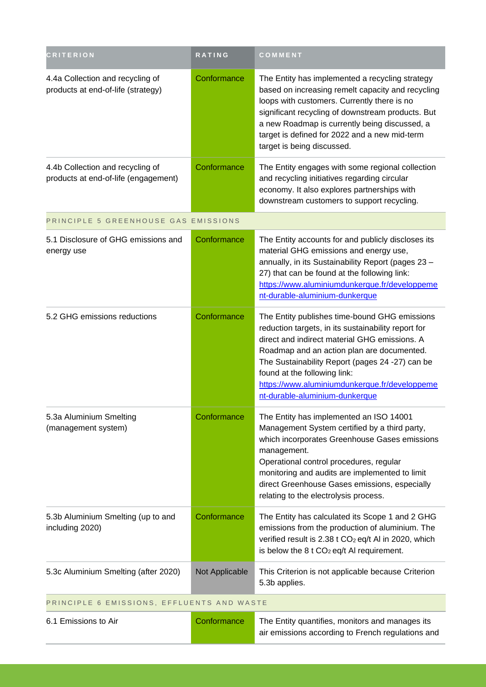| <b>CRITERION</b>                                                         | RATING         | COMMENT                                                                                                                                                                                                                                                                                                                                                                   |  |
|--------------------------------------------------------------------------|----------------|---------------------------------------------------------------------------------------------------------------------------------------------------------------------------------------------------------------------------------------------------------------------------------------------------------------------------------------------------------------------------|--|
| 4.4a Collection and recycling of<br>products at end-of-life (strategy)   | Conformance    | The Entity has implemented a recycling strategy<br>based on increasing remelt capacity and recycling<br>loops with customers. Currently there is no<br>significant recycling of downstream products. But<br>a new Roadmap is currently being discussed, a<br>target is defined for 2022 and a new mid-term<br>target is being discussed.                                  |  |
| 4.4b Collection and recycling of<br>products at end-of-life (engagement) | Conformance    | The Entity engages with some regional collection<br>and recycling initiatives regarding circular<br>economy. It also explores partnerships with<br>downstream customers to support recycling.                                                                                                                                                                             |  |
| PRINCIPLE 5 GREENHOUSE GAS EMISSIONS                                     |                |                                                                                                                                                                                                                                                                                                                                                                           |  |
| 5.1 Disclosure of GHG emissions and<br>energy use                        | Conformance    | The Entity accounts for and publicly discloses its<br>material GHG emissions and energy use,<br>annually, in its Sustainability Report (pages 23 -<br>27) that can be found at the following link:<br>https://www.aluminiumdunkerque.fr/developpeme<br>nt-durable-aluminium-dunkerque                                                                                     |  |
| 5.2 GHG emissions reductions                                             | Conformance    | The Entity publishes time-bound GHG emissions<br>reduction targets, in its sustainability report for<br>direct and indirect material GHG emissions. A<br>Roadmap and an action plan are documented.<br>The Sustainability Report (pages 24 -27) can be<br>found at the following link:<br>https://www.aluminiumdunkerque.fr/developpeme<br>nt-durable-aluminium-dunkerque |  |
| 5.3a Aluminium Smelting<br>(management system)                           | Conformance    | The Entity has implemented an ISO 14001<br>Management System certified by a third party,<br>which incorporates Greenhouse Gases emissions<br>management.<br>Operational control procedures, regular<br>monitoring and audits are implemented to limit<br>direct Greenhouse Gases emissions, especially<br>relating to the electrolysis process.                           |  |
| 5.3b Aluminium Smelting (up to and<br>including 2020)                    | Conformance    | The Entity has calculated its Scope 1 and 2 GHG<br>emissions from the production of aluminium. The<br>verified result is 2.38 t CO <sub>2</sub> eq/t AI in 2020, which<br>is below the $8t CO2 eq/t$ AI requirement.                                                                                                                                                      |  |
| 5.3c Aluminium Smelting (after 2020)                                     | Not Applicable | This Criterion is not applicable because Criterion<br>5.3b applies.                                                                                                                                                                                                                                                                                                       |  |
| PRINCIPLE 6 EMISSIONS, EFFLUENTS AND WASTE                               |                |                                                                                                                                                                                                                                                                                                                                                                           |  |
| 6.1 Emissions to Air                                                     | Conformance    | The Entity quantifies, monitors and manages its<br>air emissions according to French regulations and                                                                                                                                                                                                                                                                      |  |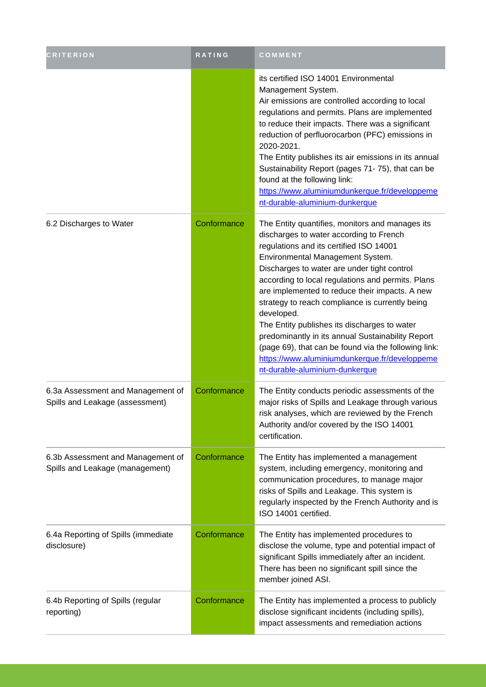| <b>CRITERION</b>                                                     | <b>RATING</b> | COMMENT                                                                                                                                                                                                                                                                                                                                                                                                                                                                                                                                                                                                                                          |
|----------------------------------------------------------------------|---------------|--------------------------------------------------------------------------------------------------------------------------------------------------------------------------------------------------------------------------------------------------------------------------------------------------------------------------------------------------------------------------------------------------------------------------------------------------------------------------------------------------------------------------------------------------------------------------------------------------------------------------------------------------|
|                                                                      |               | its certified ISO 14001 Environmental<br>Management System.<br>Air emissions are controlled according to local<br>regulations and permits. Plans are implemented<br>to reduce their impacts. There was a significant<br>reduction of perfluorocarbon (PFC) emissions in<br>2020-2021.<br>The Entity publishes its air emissions in its annual<br>Sustainability Report (pages 71-75), that can be<br>found at the following link:<br>https://www.aluminiumdunkerque.fr/developpeme<br>nt-durable-aluminium-dunkerque                                                                                                                             |
| 6.2 Discharges to Water                                              | Conformance   | The Entity quantifies, monitors and manages its<br>discharges to water according to French<br>regulations and its certified ISO 14001<br>Environmental Management System.<br>Discharges to water are under tight control<br>according to local regulations and permits. Plans<br>are implemented to reduce their impacts. A new<br>strategy to reach compliance is currently being<br>developed.<br>The Entity publishes its discharges to water<br>predominantly in its annual Sustainability Report<br>(page 69), that can be found via the following link:<br>https://www.aluminiumdunkerque.fr/developpeme<br>nt-durable-aluminium-dunkerque |
| 6.3a Assessment and Management of<br>Spills and Leakage (assessment) | Conformance   | The Entity conducts periodic assessments of the<br>major risks of Spills and Leakage through various<br>risk analyses, which are reviewed by the French<br>Authority and/or covered by the ISO 14001<br>certification.                                                                                                                                                                                                                                                                                                                                                                                                                           |
| 6.3b Assessment and Management of<br>Spills and Leakage (management) | Conformance   | The Entity has implemented a management<br>system, including emergency, monitoring and<br>communication procedures, to manage major<br>risks of Spills and Leakage. This system is<br>regularly inspected by the French Authority and is<br>ISO 14001 certified.                                                                                                                                                                                                                                                                                                                                                                                 |
| 6.4a Reporting of Spills (immediate<br>disclosure)                   | Conformance   | The Entity has implemented procedures to<br>disclose the volume, type and potential impact of<br>significant Spills immediately after an incident.<br>There has been no significant spill since the<br>member joined ASI.                                                                                                                                                                                                                                                                                                                                                                                                                        |
| 6.4b Reporting of Spills (regular<br>reporting)                      | Conformance   | The Entity has implemented a process to publicly<br>disclose significant incidents (including spills),<br>impact assessments and remediation actions                                                                                                                                                                                                                                                                                                                                                                                                                                                                                             |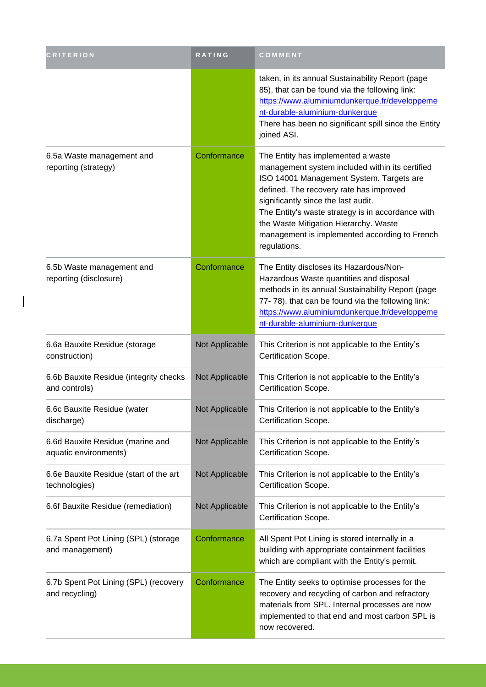| <b>CRITERION</b>                                          | <b>RATING</b>  | COMMENT                                                                                                                                                                                                                                                                                                                                                                            |
|-----------------------------------------------------------|----------------|------------------------------------------------------------------------------------------------------------------------------------------------------------------------------------------------------------------------------------------------------------------------------------------------------------------------------------------------------------------------------------|
|                                                           |                | taken, in its annual Sustainability Report (page<br>85), that can be found via the following link:<br>https://www.aluminiumdunkerque.fr/developpeme<br>nt-durable-aluminium-dunkerque<br>There has been no significant spill since the Entity<br>joined ASI.                                                                                                                       |
| 6.5a Waste management and<br>reporting (strategy)         | Conformance    | The Entity has implemented a waste<br>management system included within its certified<br>ISO 14001 Management System. Targets are<br>defined. The recovery rate has improved<br>significantly since the last audit.<br>The Entity's waste strategy is in accordance with<br>the Waste Mitigation Hierarchy. Waste<br>management is implemented according to French<br>regulations. |
| 6.5b Waste management and<br>reporting (disclosure)       | Conformance    | The Entity discloses its Hazardous/Non-<br>Hazardous Waste quantities and disposal<br>methods in its annual Sustainability Report (page<br>77--78), that can be found via the following link:<br>https://www.aluminiumdunkerque.fr/developpeme<br>nt-durable-aluminium-dunkerque                                                                                                   |
| 6.6a Bauxite Residue (storage<br>construction)            | Not Applicable | This Criterion is not applicable to the Entity's<br>Certification Scope.                                                                                                                                                                                                                                                                                                           |
| 6.6b Bauxite Residue (integrity checks<br>and controls)   | Not Applicable | This Criterion is not applicable to the Entity's<br>Certification Scope.                                                                                                                                                                                                                                                                                                           |
| 6.6c Bauxite Residue (water<br>discharge)                 | Not Applicable | This Criterion is not applicable to the Entity's<br>Certification Scope.                                                                                                                                                                                                                                                                                                           |
| 6.6d Bauxite Residue (marine and<br>aquatic environments) | Not Applicable | This Criterion is not applicable to the Entity's<br>Certification Scope.                                                                                                                                                                                                                                                                                                           |
| 6.6e Bauxite Residue (start of the art<br>technologies)   | Not Applicable | This Criterion is not applicable to the Entity's<br>Certification Scope.                                                                                                                                                                                                                                                                                                           |
| 6.6f Bauxite Residue (remediation)                        | Not Applicable | This Criterion is not applicable to the Entity's<br>Certification Scope.                                                                                                                                                                                                                                                                                                           |
| 6.7a Spent Pot Lining (SPL) (storage<br>and management)   | Conformance    | All Spent Pot Lining is stored internally in a<br>building with appropriate containment facilities<br>which are compliant with the Entity's permit.                                                                                                                                                                                                                                |
| 6.7b Spent Pot Lining (SPL) (recovery<br>and recycling)   | Conformance    | The Entity seeks to optimise processes for the<br>recovery and recycling of carbon and refractory<br>materials from SPL. Internal processes are now<br>implemented to that end and most carbon SPL is<br>now recovered.                                                                                                                                                            |

 $\overline{\phantom{a}}$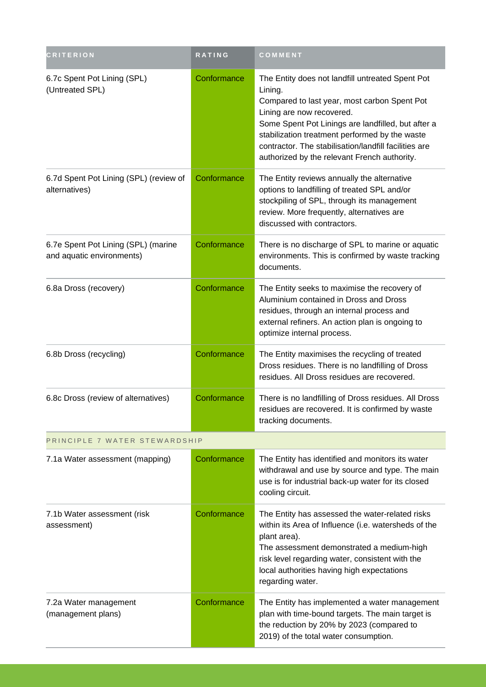| <b>CRITERION</b>                                                 | RATING      | COMMENT                                                                                                                                                                                                                                                                                                                                                   |  |
|------------------------------------------------------------------|-------------|-----------------------------------------------------------------------------------------------------------------------------------------------------------------------------------------------------------------------------------------------------------------------------------------------------------------------------------------------------------|--|
| 6.7c Spent Pot Lining (SPL)<br>(Untreated SPL)                   | Conformance | The Entity does not landfill untreated Spent Pot<br>Lining.<br>Compared to last year, most carbon Spent Pot<br>Lining are now recovered.<br>Some Spent Pot Linings are landfilled, but after a<br>stabilization treatment performed by the waste<br>contractor. The stabilisation/landfill facilities are<br>authorized by the relevant French authority. |  |
| 6.7d Spent Pot Lining (SPL) (review of<br>alternatives)          | Conformance | The Entity reviews annually the alternative<br>options to landfilling of treated SPL and/or<br>stockpiling of SPL, through its management<br>review. More frequently, alternatives are<br>discussed with contractors.                                                                                                                                     |  |
| 6.7e Spent Pot Lining (SPL) (marine<br>and aquatic environments) | Conformance | There is no discharge of SPL to marine or aquatic<br>environments. This is confirmed by waste tracking<br>documents.                                                                                                                                                                                                                                      |  |
| 6.8a Dross (recovery)                                            | Conformance | The Entity seeks to maximise the recovery of<br>Aluminium contained in Dross and Dross<br>residues, through an internal process and<br>external refiners. An action plan is ongoing to<br>optimize internal process.                                                                                                                                      |  |
| 6.8b Dross (recycling)                                           | Conformance | The Entity maximises the recycling of treated<br>Dross residues. There is no landfilling of Dross<br>residues. All Dross residues are recovered.                                                                                                                                                                                                          |  |
| 6.8c Dross (review of alternatives)                              | Conformance | There is no landfilling of Dross residues. All Dross<br>residues are recovered. It is confirmed by waste<br>tracking documents.                                                                                                                                                                                                                           |  |
| PRINCIPLE 7 WATER STEWARDSHIP                                    |             |                                                                                                                                                                                                                                                                                                                                                           |  |
| 7.1a Water assessment (mapping)                                  | Conformance | The Entity has identified and monitors its water<br>withdrawal and use by source and type. The main<br>use is for industrial back-up water for its closed<br>cooling circuit.                                                                                                                                                                             |  |
| 7.1b Water assessment (risk<br>assessment)                       | Conformance | The Entity has assessed the water-related risks<br>within its Area of Influence (i.e. watersheds of the<br>plant area).<br>The assessment demonstrated a medium-high<br>risk level regarding water, consistent with the<br>local authorities having high expectations<br>regarding water.                                                                 |  |
| 7.2a Water management<br>(management plans)                      | Conformance | The Entity has implemented a water management<br>plan with time-bound targets. The main target is<br>the reduction by 20% by 2023 (compared to<br>2019) of the total water consumption.                                                                                                                                                                   |  |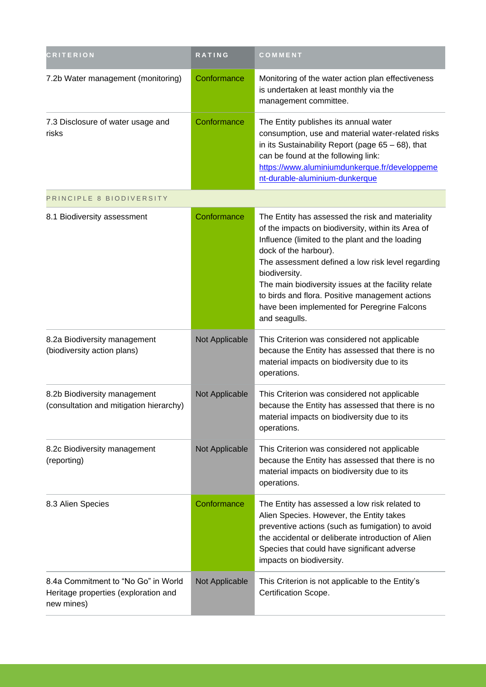| <b>CRITERION</b>                                                                          | RATING         | COMMENT                                                                                                                                                                                                                                                                                                                                                                                                                            |
|-------------------------------------------------------------------------------------------|----------------|------------------------------------------------------------------------------------------------------------------------------------------------------------------------------------------------------------------------------------------------------------------------------------------------------------------------------------------------------------------------------------------------------------------------------------|
| 7.2b Water management (monitoring)                                                        | Conformance    | Monitoring of the water action plan effectiveness<br>is undertaken at least monthly via the<br>management committee.                                                                                                                                                                                                                                                                                                               |
| 7.3 Disclosure of water usage and<br>risks                                                | Conformance    | The Entity publishes its annual water<br>consumption, use and material water-related risks<br>in its Sustainability Report (page $65 - 68$ ), that<br>can be found at the following link:<br>https://www.aluminiumdunkerque.fr/developpeme<br>nt-durable-aluminium-dunkerque                                                                                                                                                       |
| PRINCIPLE 8 BIODIVERSITY                                                                  |                |                                                                                                                                                                                                                                                                                                                                                                                                                                    |
| 8.1 Biodiversity assessment                                                               | Conformance    | The Entity has assessed the risk and materiality<br>of the impacts on biodiversity, within its Area of<br>Influence (limited to the plant and the loading<br>dock of the harbour).<br>The assessment defined a low risk level regarding<br>biodiversity.<br>The main biodiversity issues at the facility relate<br>to birds and flora. Positive management actions<br>have been implemented for Peregrine Falcons<br>and seagulls. |
| 8.2a Biodiversity management<br>(biodiversity action plans)                               | Not Applicable | This Criterion was considered not applicable<br>because the Entity has assessed that there is no<br>material impacts on biodiversity due to its<br>operations.                                                                                                                                                                                                                                                                     |
| 8.2b Biodiversity management<br>(consultation and mitigation hierarchy)                   | Not Applicable | This Criterion was considered not applicable<br>because the Entity has assessed that there is no<br>material impacts on biodiversity due to its<br>operations.                                                                                                                                                                                                                                                                     |
| 8.2c Biodiversity management<br>(reporting)                                               | Not Applicable | This Criterion was considered not applicable<br>because the Entity has assessed that there is no<br>material impacts on biodiversity due to its<br>operations.                                                                                                                                                                                                                                                                     |
| 8.3 Alien Species                                                                         | Conformance    | The Entity has assessed a low risk related to<br>Alien Species. However, the Entity takes<br>preventive actions (such as fumigation) to avoid<br>the accidental or deliberate introduction of Alien<br>Species that could have significant adverse<br>impacts on biodiversity.                                                                                                                                                     |
| 8.4a Commitment to "No Go" in World<br>Heritage properties (exploration and<br>new mines) | Not Applicable | This Criterion is not applicable to the Entity's<br>Certification Scope.                                                                                                                                                                                                                                                                                                                                                           |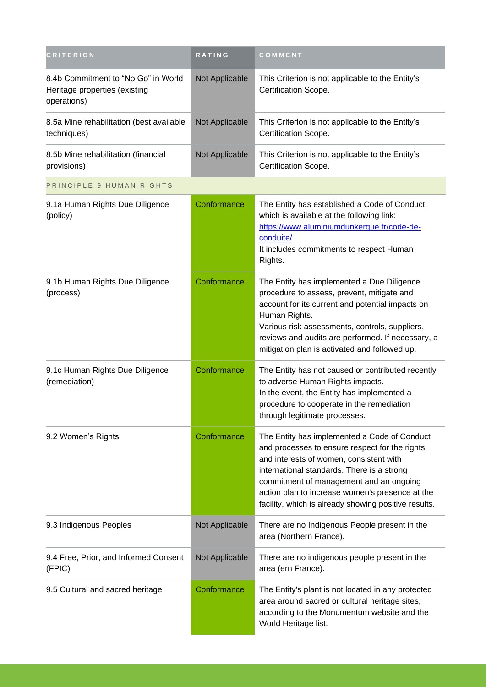| <b>CRITERION</b>                                                                    | RATING         | COMMENT                                                                                                                                                                                                                                                                                                                                       |
|-------------------------------------------------------------------------------------|----------------|-----------------------------------------------------------------------------------------------------------------------------------------------------------------------------------------------------------------------------------------------------------------------------------------------------------------------------------------------|
| 8.4b Commitment to "No Go" in World<br>Heritage properties (existing<br>operations) | Not Applicable | This Criterion is not applicable to the Entity's<br>Certification Scope.                                                                                                                                                                                                                                                                      |
| 8.5a Mine rehabilitation (best available<br>techniques)                             | Not Applicable | This Criterion is not applicable to the Entity's<br>Certification Scope.                                                                                                                                                                                                                                                                      |
| 8.5b Mine rehabilitation (financial<br>provisions)                                  | Not Applicable | This Criterion is not applicable to the Entity's<br>Certification Scope.                                                                                                                                                                                                                                                                      |
| PRINCIPLE 9 HUMAN RIGHTS                                                            |                |                                                                                                                                                                                                                                                                                                                                               |
| 9.1a Human Rights Due Diligence<br>(policy)                                         | Conformance    | The Entity has established a Code of Conduct,<br>which is available at the following link:<br>https://www.aluminiumdunkerque.fr/code-de-<br>conduite/<br>It includes commitments to respect Human<br>Rights.                                                                                                                                  |
| 9.1b Human Rights Due Diligence<br>(process)                                        | Conformance    | The Entity has implemented a Due Diligence<br>procedure to assess, prevent, mitigate and<br>account for its current and potential impacts on<br>Human Rights.<br>Various risk assessments, controls, suppliers,<br>reviews and audits are performed. If necessary, a<br>mitigation plan is activated and followed up.                         |
| 9.1c Human Rights Due Diligence<br>(remediation)                                    | Conformance    | The Entity has not caused or contributed recently<br>to adverse Human Rights impacts.<br>In the event, the Entity has implemented a<br>procedure to cooperate in the remediation<br>through legitimate processes.                                                                                                                             |
| 9.2 Women's Rights                                                                  | Conformance    | The Entity has implemented a Code of Conduct<br>and processes to ensure respect for the rights<br>and interests of women, consistent with<br>international standards. There is a strong<br>commitment of management and an ongoing<br>action plan to increase women's presence at the<br>facility, which is already showing positive results. |
| 9.3 Indigenous Peoples                                                              | Not Applicable | There are no Indigenous People present in the<br>area (Northern France).                                                                                                                                                                                                                                                                      |
| 9.4 Free, Prior, and Informed Consent<br>(FPIC)                                     | Not Applicable | There are no indigenous people present in the<br>area (ern France).                                                                                                                                                                                                                                                                           |
| 9.5 Cultural and sacred heritage                                                    | Conformance    | The Entity's plant is not located in any protected<br>area around sacred or cultural heritage sites,<br>according to the Monumentum website and the<br>World Heritage list.                                                                                                                                                                   |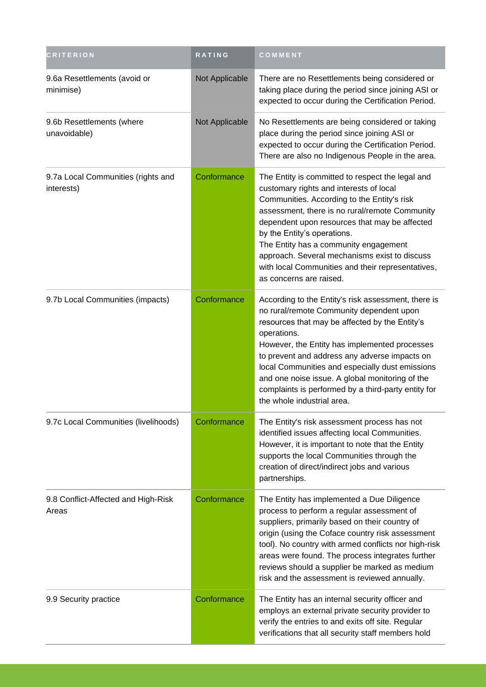| <b>CRITERION</b>                                 | <b>RATING</b>  | COMMENT                                                                                                                                                                                                                                                                                                                                                                                                                                                       |
|--------------------------------------------------|----------------|---------------------------------------------------------------------------------------------------------------------------------------------------------------------------------------------------------------------------------------------------------------------------------------------------------------------------------------------------------------------------------------------------------------------------------------------------------------|
| 9.6a Resettlements (avoid or<br>minimise)        | Not Applicable | There are no Resettlements being considered or<br>taking place during the period since joining ASI or<br>expected to occur during the Certification Period.                                                                                                                                                                                                                                                                                                   |
| 9.6b Resettlements (where<br>unavoidable)        | Not Applicable | No Resettlements are being considered or taking<br>place during the period since joining ASI or<br>expected to occur during the Certification Period.<br>There are also no Indigenous People in the area.                                                                                                                                                                                                                                                     |
| 9.7a Local Communities (rights and<br>interests) | Conformance    | The Entity is committed to respect the legal and<br>customary rights and interests of local<br>Communities. According to the Entity's risk<br>assessment, there is no rural/remote Community<br>dependent upon resources that may be affected<br>by the Entity's operations.<br>The Entity has a community engagement<br>approach. Several mechanisms exist to discuss<br>with local Communities and their representatives,<br>as concerns are raised.        |
| 9.7b Local Communities (impacts)                 | Conformance    | According to the Entity's risk assessment, there is<br>no rural/remote Community dependent upon<br>resources that may be affected by the Entity's<br>operations.<br>However, the Entity has implemented processes<br>to prevent and address any adverse impacts on<br>local Communities and especially dust emissions<br>and one noise issue. A global monitoring of the<br>complaints is performed by a third-party entity for<br>the whole industrial area. |
| 9.7c Local Communities (livelihoods)             | Conformance    | The Entity's risk assessment process has not<br>identified issues affecting local Communities.<br>However, it is important to note that the Entity<br>supports the local Communities through the<br>creation of direct/indirect jobs and various<br>partnerships.                                                                                                                                                                                             |
| 9.8 Conflict-Affected and High-Risk<br>Areas     | Conformance    | The Entity has implemented a Due Diligence<br>process to perform a regular assessment of<br>suppliers, primarily based on their country of<br>origin (using the Coface country risk assessment<br>tool). No country with armed conflicts nor high-risk<br>areas were found. The process integrates further<br>reviews should a supplier be marked as medium<br>risk and the assessment is reviewed annually.                                                  |
| 9.9 Security practice                            | Conformance    | The Entity has an internal security officer and<br>employs an external private security provider to<br>verify the entries to and exits off site. Regular<br>verifications that all security staff members hold                                                                                                                                                                                                                                                |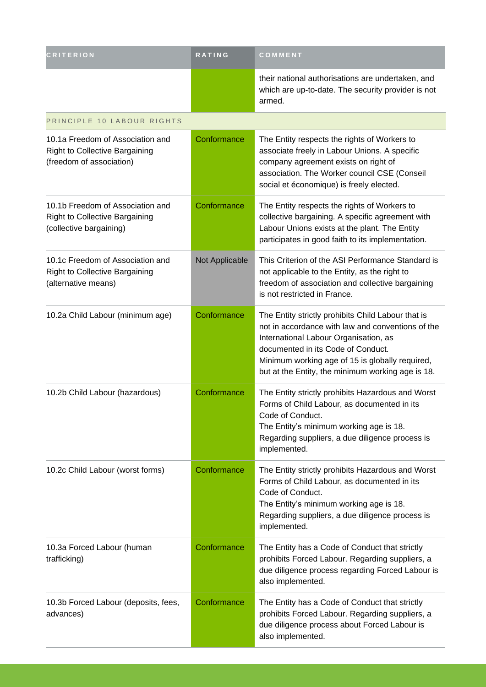| <b>CRITERION</b>                                                                                      | <b>RATING</b>  | COMMENT                                                                                                                                                                                                                                                                                        |
|-------------------------------------------------------------------------------------------------------|----------------|------------------------------------------------------------------------------------------------------------------------------------------------------------------------------------------------------------------------------------------------------------------------------------------------|
|                                                                                                       |                | their national authorisations are undertaken, and<br>which are up-to-date. The security provider is not<br>armed.                                                                                                                                                                              |
| PRINCIPLE 10 LABOUR RIGHTS                                                                            |                |                                                                                                                                                                                                                                                                                                |
| 10.1a Freedom of Association and<br><b>Right to Collective Bargaining</b><br>(freedom of association) | Conformance    | The Entity respects the rights of Workers to<br>associate freely in Labour Unions. A specific<br>company agreement exists on right of<br>association. The Worker council CSE (Conseil<br>social et économique) is freely elected.                                                              |
| 10.1b Freedom of Association and<br><b>Right to Collective Bargaining</b><br>(collective bargaining)  | Conformance    | The Entity respects the rights of Workers to<br>collective bargaining. A specific agreement with<br>Labour Unions exists at the plant. The Entity<br>participates in good faith to its implementation.                                                                                         |
| 10.1c Freedom of Association and<br><b>Right to Collective Bargaining</b><br>(alternative means)      | Not Applicable | This Criterion of the ASI Performance Standard is<br>not applicable to the Entity, as the right to<br>freedom of association and collective bargaining<br>is not restricted in France.                                                                                                         |
| 10.2a Child Labour (minimum age)                                                                      | Conformance    | The Entity strictly prohibits Child Labour that is<br>not in accordance with law and conventions of the<br>International Labour Organisation, as<br>documented in its Code of Conduct.<br>Minimum working age of 15 is globally required,<br>but at the Entity, the minimum working age is 18. |
| 10.2b Child Labour (hazardous)                                                                        | Conformance    | The Entity strictly prohibits Hazardous and Worst<br>Forms of Child Labour, as documented in its<br>Code of Conduct.<br>The Entity's minimum working age is 18.<br>Regarding suppliers, a due diligence process is<br>implemented.                                                             |
| 10.2c Child Labour (worst forms)                                                                      | Conformance    | The Entity strictly prohibits Hazardous and Worst<br>Forms of Child Labour, as documented in its<br>Code of Conduct.<br>The Entity's minimum working age is 18.<br>Regarding suppliers, a due diligence process is<br>implemented.                                                             |
| 10.3a Forced Labour (human<br>trafficking)                                                            | Conformance    | The Entity has a Code of Conduct that strictly<br>prohibits Forced Labour. Regarding suppliers, a<br>due diligence process regarding Forced Labour is<br>also implemented.                                                                                                                     |
| 10.3b Forced Labour (deposits, fees,<br>advances)                                                     | Conformance    | The Entity has a Code of Conduct that strictly<br>prohibits Forced Labour. Regarding suppliers, a<br>due diligence process about Forced Labour is<br>also implemented.                                                                                                                         |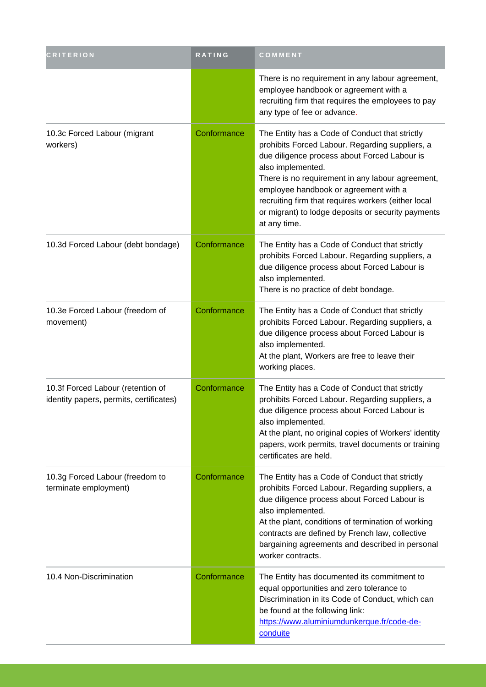| <b>CRITERION</b>                                                             | <b>RATING</b> | COMMENT                                                                                                                                                                                                                                                                                                                                                                                          |
|------------------------------------------------------------------------------|---------------|--------------------------------------------------------------------------------------------------------------------------------------------------------------------------------------------------------------------------------------------------------------------------------------------------------------------------------------------------------------------------------------------------|
|                                                                              |               | There is no requirement in any labour agreement,<br>employee handbook or agreement with a<br>recruiting firm that requires the employees to pay<br>any type of fee or advance.                                                                                                                                                                                                                   |
| 10.3c Forced Labour (migrant<br>workers)                                     | Conformance   | The Entity has a Code of Conduct that strictly<br>prohibits Forced Labour. Regarding suppliers, a<br>due diligence process about Forced Labour is<br>also implemented.<br>There is no requirement in any labour agreement,<br>employee handbook or agreement with a<br>recruiting firm that requires workers (either local<br>or migrant) to lodge deposits or security payments<br>at any time. |
| 10.3d Forced Labour (debt bondage)                                           | Conformance   | The Entity has a Code of Conduct that strictly<br>prohibits Forced Labour. Regarding suppliers, a<br>due diligence process about Forced Labour is<br>also implemented.<br>There is no practice of debt bondage.                                                                                                                                                                                  |
| 10.3e Forced Labour (freedom of<br>movement)                                 | Conformance   | The Entity has a Code of Conduct that strictly<br>prohibits Forced Labour. Regarding suppliers, a<br>due diligence process about Forced Labour is<br>also implemented.<br>At the plant, Workers are free to leave their<br>working places.                                                                                                                                                       |
| 10.3f Forced Labour (retention of<br>identity papers, permits, certificates) | Conformance   | The Entity has a Code of Conduct that strictly<br>prohibits Forced Labour. Regarding suppliers, a<br>due diligence process about Forced Labour is<br>also implemented.<br>At the plant, no original copies of Workers' identity<br>papers, work permits, travel documents or training<br>certificates are held.                                                                                  |
| 10.3g Forced Labour (freedom to<br>terminate employment)                     | Conformance   | The Entity has a Code of Conduct that strictly<br>prohibits Forced Labour. Regarding suppliers, a<br>due diligence process about Forced Labour is<br>also implemented.<br>At the plant, conditions of termination of working<br>contracts are defined by French law, collective<br>bargaining agreements and described in personal<br>worker contracts.                                          |
| 10.4 Non-Discrimination                                                      | Conformance   | The Entity has documented its commitment to<br>equal opportunities and zero tolerance to<br>Discrimination in its Code of Conduct, which can<br>be found at the following link:<br>https://www.aluminiumdunkerque.fr/code-de-<br>conduite                                                                                                                                                        |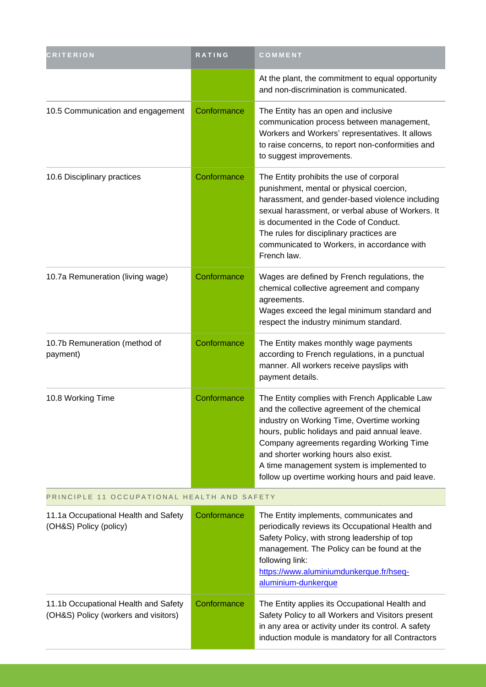| <b>CRITERION</b>                                                             | <b>RATING</b> | COMMENT                                                                                                                                                                                                                                                                                                                                                                               |
|------------------------------------------------------------------------------|---------------|---------------------------------------------------------------------------------------------------------------------------------------------------------------------------------------------------------------------------------------------------------------------------------------------------------------------------------------------------------------------------------------|
|                                                                              |               | At the plant, the commitment to equal opportunity<br>and non-discrimination is communicated.                                                                                                                                                                                                                                                                                          |
| 10.5 Communication and engagement                                            | Conformance   | The Entity has an open and inclusive<br>communication process between management,<br>Workers and Workers' representatives. It allows<br>to raise concerns, to report non-conformities and<br>to suggest improvements.                                                                                                                                                                 |
| 10.6 Disciplinary practices                                                  | Conformance   | The Entity prohibits the use of corporal<br>punishment, mental or physical coercion,<br>harassment, and gender-based violence including<br>sexual harassment, or verbal abuse of Workers. It<br>is documented in the Code of Conduct.<br>The rules for disciplinary practices are<br>communicated to Workers, in accordance with<br>French law.                                       |
| 10.7a Remuneration (living wage)                                             | Conformance   | Wages are defined by French regulations, the<br>chemical collective agreement and company<br>agreements.<br>Wages exceed the legal minimum standard and<br>respect the industry minimum standard.                                                                                                                                                                                     |
| 10.7b Remuneration (method of<br>payment)                                    | Conformance   | The Entity makes monthly wage payments<br>according to French regulations, in a punctual<br>manner. All workers receive payslips with<br>payment details.                                                                                                                                                                                                                             |
| 10.8 Working Time                                                            | Conformance   | The Entity complies with French Applicable Law<br>and the collective agreement of the chemical<br>industry on Working Time, Overtime working<br>hours, public holidays and paid annual leave.<br>Company agreements regarding Working Time<br>and shorter working hours also exist.<br>A time management system is implemented to<br>follow up overtime working hours and paid leave. |
| PRINCIPLE 11 OCCUPATIONAL HEALTH AND SAFETY                                  |               |                                                                                                                                                                                                                                                                                                                                                                                       |
| 11.1a Occupational Health and Safety<br>(OH&S) Policy (policy)               | Conformance   | The Entity implements, communicates and<br>periodically reviews its Occupational Health and<br>Safety Policy, with strong leadership of top<br>management. The Policy can be found at the<br>following link:<br>https://www.aluminiumdunkerque.fr/hseq-<br>aluminium-dunkerque                                                                                                        |
| 11.1b Occupational Health and Safety<br>(OH&S) Policy (workers and visitors) | Conformance   | The Entity applies its Occupational Health and<br>Safety Policy to all Workers and Visitors present<br>in any area or activity under its control. A safety<br>induction module is mandatory for all Contractors                                                                                                                                                                       |